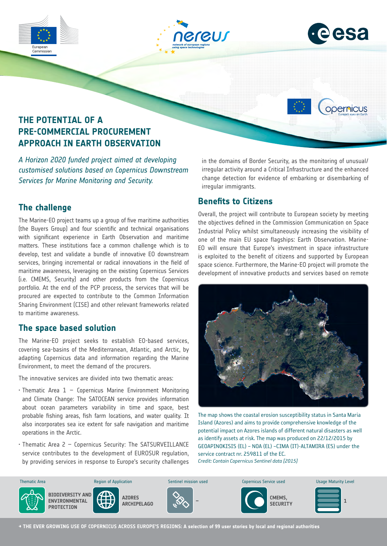





opernicus

## **THE POTENTIAL OF A PRE-COMMERCIAL PROCUREMENT APPROACH IN EARTH OBSERVATION**

*A Horizon 2020 funded project aimed at developing customised solutions based on Copernicus Downstream Services for Marine Monitoring and Security.* 

### **The challenge**

The Marine-EO project teams up a group of five maritime authorities (the Buyers Group) and four scientific and technical organisations with significant experience in Earth Observation and maritime matters. These institutions face a common challenge which is to develop, test and validate a bundle of innovative EO downstream services, bringing incremental or radical innovations in the field of maritime awareness, leveraging on the existing Copernicus Services (i.e. CMEMS, Security) and other products from the Copernicus portfolio. At the end of the PCP process, the services that will be procured are expected to contribute to the Common Information Sharing Environment (CISE) and other relevant frameworks related to maritime awareness.

### **The space based solution**

The Marine-EO project seeks to establish EO-based services, covering sea-basins of the Mediterranean, Atlantic, and Arctic, by adapting Copernicus data and information regarding the Marine Environment, to meet the demand of the procurers.

The innovative services are divided into two thematic areas:

- $\cdot$  Thematic Area 1 Copernicus Marine Environment Monitoring and Climate Change: The SATOCEAN service provides information about ocean parameters variability in time and space, best probable fishing areas, fish farm locations, and water quality. It also incorporates sea ice extent for safe navigation and maritime operations in the Arctic.
- Thematic Area 2 Copernicus Security: The SATSURVEILLANCE service contributes to the development of EUROSUR regulation, by providing services in response to Europe's security challenges

in the domains of Border Security, as the monitoring of unusual/ irregular activity around a Critical Infrastructure and the enhanced change detection for evidence of embarking or disembarking of irregular immigrants.

### **Benefits to Citizens**

Overall, the project will contribute to European society by meeting the objectives defined in the Commission Communication on Space Industrial Policy whilst simultaneously increasing the visibility of one of the main EU space flagships: Earth Observation. Marine-EO will ensure that Europe's investment in space infrastructure is exploited to the benefit of citizens and supported by European space science. Furthermore, the Marine-EO project will promote the development of innovative products and services based on remote



The map shows the coastal erosion susceptibility status in Santa Maria Island (Azores) and aims to provide comprehensive knowledge of the potential impact on Azores islands of different natural disasters as well as identify assets at risk. The map was produced on 22/12/2015 by GEOAPINOKISIS (EL) – NOA (EL) –CIMA (IT)-ALTAMIRA (ES) under the service contract nr. 259811 of the EC. *Credit: Contain Copernicus Sentinel data [2015]*



**→ THE EVER GROWING USE OF COPERNICUS ACROSS EUROPE'S REGIONS: A selection of 99 user stories by local and regional authorities**